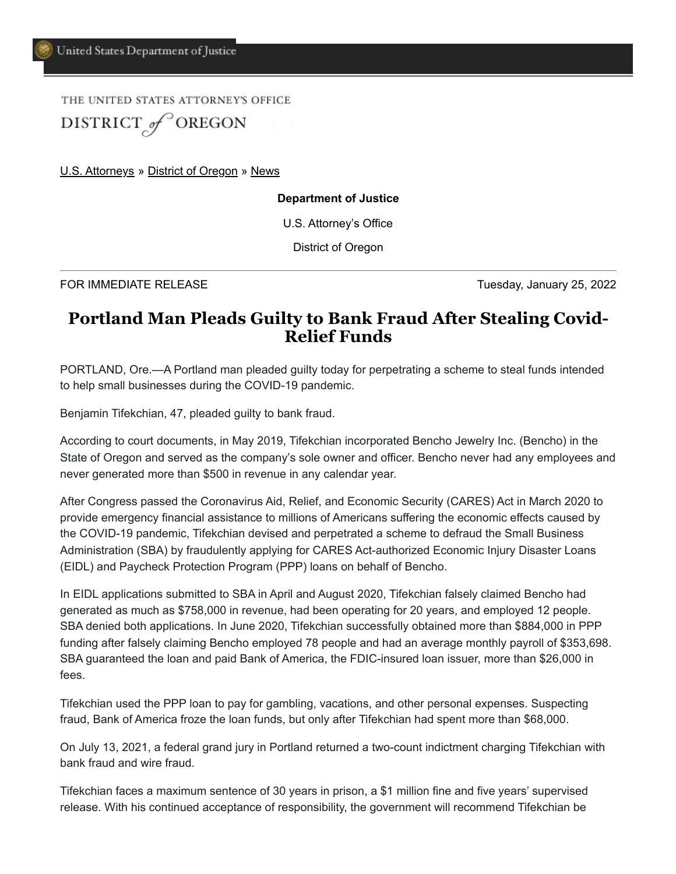THE UNITED STATES ATTORNEY'S OFFICE DISTRICT of OREGON

[U.S. Attorneys](https://www.justice.gov/usao) » [District of Oregon](https://www.justice.gov/usao-or) » [News](https://www.justice.gov/usao-or/pr)

## **Department of Justice**

U.S. Attorney's Office

District of Oregon

FOR IMMEDIATE RELEASE TUESDAY TUESDAY TUESDAY, January 25, 2022

## **Portland Man Pleads Guilty to Bank Fraud After Stealing Covid-Relief Funds**

PORTLAND, Ore.—A Portland man pleaded guilty today for perpetrating a scheme to steal funds intended to help small businesses during the COVID-19 pandemic.

Benjamin Tifekchian, 47, pleaded guilty to bank fraud.

According to court documents, in May 2019, Tifekchian incorporated Bencho Jewelry Inc. (Bencho) in the State of Oregon and served as the company's sole owner and officer. Bencho never had any employees and never generated more than \$500 in revenue in any calendar year.

After Congress passed the Coronavirus Aid, Relief, and Economic Security (CARES) Act in March 2020 to provide emergency financial assistance to millions of Americans suffering the economic effects caused by the COVID-19 pandemic, Tifekchian devised and perpetrated a scheme to defraud the Small Business Administration (SBA) by fraudulently applying for CARES Act-authorized Economic Injury Disaster Loans (EIDL) and Paycheck Protection Program (PPP) loans on behalf of Bencho.

In EIDL applications submitted to SBA in April and August 2020, Tifekchian falsely claimed Bencho had generated as much as \$758,000 in revenue, had been operating for 20 years, and employed 12 people. SBA denied both applications. In June 2020, Tifekchian successfully obtained more than \$884,000 in PPP funding after falsely claiming Bencho employed 78 people and had an average monthly payroll of \$353,698. SBA guaranteed the loan and paid Bank of America, the FDIC-insured loan issuer, more than \$26,000 in fees.

Tifekchian used the PPP loan to pay for gambling, vacations, and other personal expenses. Suspecting fraud, Bank of America froze the loan funds, but only after Tifekchian had spent more than \$68,000.

On July 13, 2021, a federal grand jury in Portland returned a two-count indictment charging Tifekchian with bank fraud and wire fraud.

Tifekchian faces a maximum sentence of 30 years in prison, a \$1 million fine and five years' supervised release. With his continued acceptance of responsibility, the government will recommend Tifekchian be